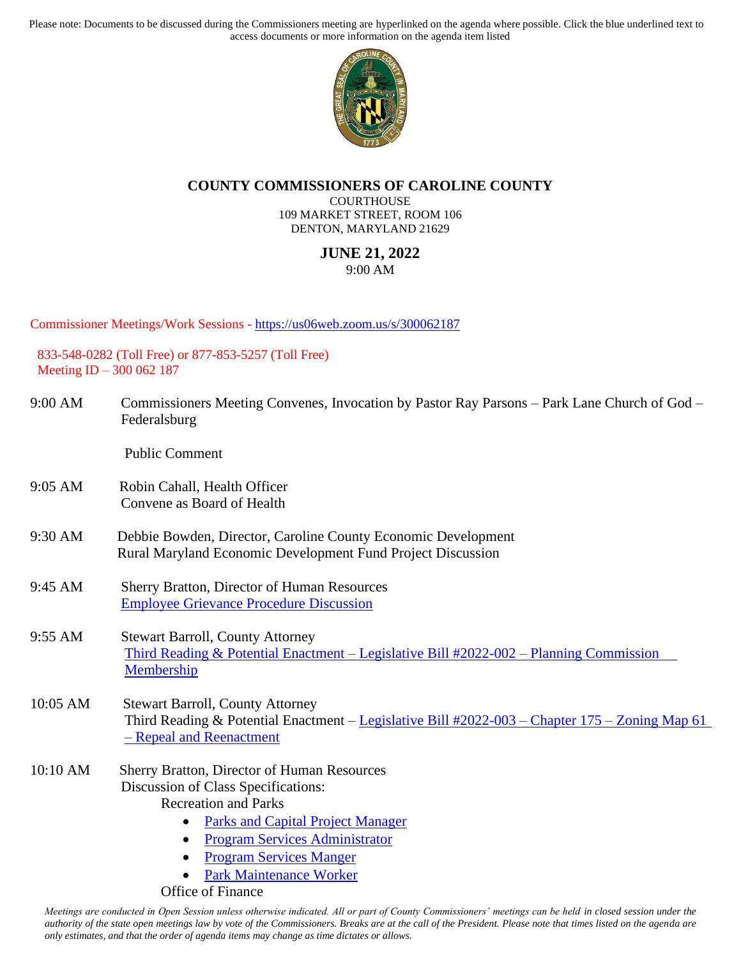Please note: Documents to be discussed during the Commissioners meeting are hyperlinked on the agenda where possible. Click the blue underlined text to access documents or more information on the agenda item listed



## **COUNTY COMMISSIONERS OF CAROLINE COUNTY**

**COURTHOUSE** 109 MARKET STREET, ROOM 106 DENTON, MARYLAND 21629

## **JUNE 21, 2022** 9:00 AM

Commissioner Meetings/Work Sessions - <https://us06web.zoom.us/s/300062187>

833-548-0282 (Toll Free) or 877-853-5257 (Toll Free) Meeting ID – 300 062 187

| Federalsburg | Commissioners Meeting Convenes, Invocation by Pastor Ray Parsons – Park Lane Church of God – |
|--------------|----------------------------------------------------------------------------------------------|

Public Comment

- 9:05 AM Robin Cahall, Health Officer Convene as Board of Health
- 9:30 AM Debbie Bowden, Director, Caroline County Economic Development Rural Maryland Economic Development Fund Project Discussion
- 9:45 AM Sherry Bratton, Director of Human Resources [Employee Grievance Procedure Discussion](https://www.carolinemd.org/DocumentCenter/View/7238/EMPLOYEE-GRIEVANCE-PROCEDURES-S-Barroll-May-2022)
- 9:55 AM Stewart Barroll, County Attorney [Third Reading & Potential Enactment –](https://www.carolinemd.org/DocumentCenter/View/6970/Legislative-Bill-2022-002-Planning-Commission-Membership) Legislative Bill #2022-002 – Planning Commission [Membership](https://www.carolinemd.org/DocumentCenter/View/6970/Legislative-Bill-2022-002-Planning-Commission-Membership)

## 10:05 AM Stewart Barroll, County Attorney Third Reading & Potential Enactment – [Legislative Bill #2022-003 –](https://www.carolinemd.org/DocumentCenter/View/7300/REZONING-BILL-2022-003) Chapter 175 – Zoning Map 61 – [Repeal and Reenactment](https://www.carolinemd.org/DocumentCenter/View/7300/REZONING-BILL-2022-003)

- 10:10 AM Sherry Bratton, Director of Human Resources Discussion of Class Specifications: Recreation and Parks
	- [Parks and Capital Project Manager](https://www.carolinemd.org/DocumentCenter/View/7251/Parks-and-Capital-Project-Manager-final)
	- [Program Services Administrator](https://www.carolinemd.org/DocumentCenter/View/7247/Program-Services-Adminstrator-JB)
	- [Program Services Manger](https://www.carolinemd.org/DocumentCenter/View/7248/Program-Services-Manager-final)
	- [Park Maintenance Worker](https://www.carolinemd.org/DocumentCenter/View/7250/Park-Maintenance-Worker_jb)

Office of Finance

*Meetings are conducted in Open Session unless otherwise indicated. All or part of County Commissioners' meetings can be held in closed session under the authority of the state open meetings law by vote of the Commissioners. Breaks are at the call of the President. Please note that times listed on the agenda are only estimates, and that the order of agenda items may change as time dictates or allows.*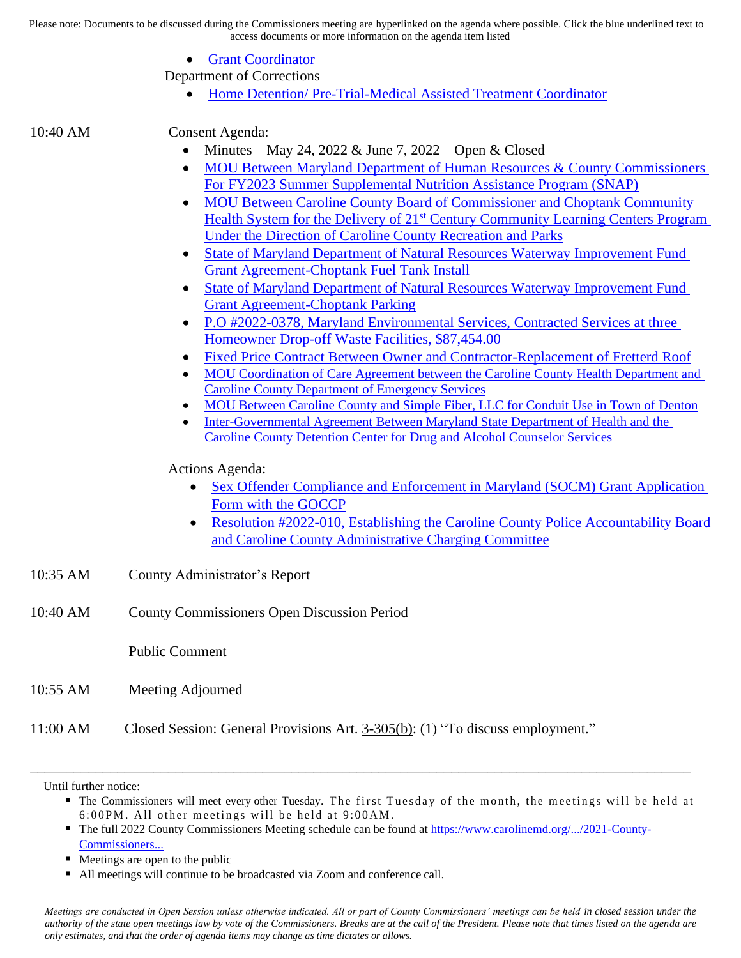Please note: Documents to be discussed during the Commissioners meeting are hyperlinked on the agenda where possible. Click the blue underlined text to access documents or more information on the agenda item listed

- [Grant Coordinator](https://www.carolinemd.org/DocumentCenter/View/7249/Grant-Coordinator-SAB-updated-salary-062022)
- Department of Corrections
	- [Home Detention/ Pre-Trial-Medical Assisted Treatment Coordinator](https://www.carolinemd.org/DocumentCenter/View/7252/PreTrial---Home-Detention-Supervisor-2022-updated-per-Warden)

10:40 AM Consent Agenda:

- Minutes May 24, 2022  $&$  June 7, 2022 Open  $&$  Closed
- MOU Between Maryland Department of Human Resources & County Commissioners [For FY2023 Summer Supplemental Nutrition Assistance Program \(SNAP\)](https://www.carolinemd.org/DocumentCenter/View/7237/DHS-CARL-23-001_SNAP-MOA-Revision-Updated-6622docx)
- MOU Between Caroline County Board of Commissioner and Choptank Community Health System for the Delivery of 21<sup>st</sup> Century Community Learning Centers Program [Under the Direction of Caroline County Recreation and Parks](https://www.carolinemd.org/DocumentCenter/View/7235/CCRP-MOU_CCHS)
- [State of Maryland Department of Natural Resources Waterway Improvement Fund](https://www.carolinemd.org/DocumentCenter/View/7232/CA-LG-0514H-23-Choptank-Fuel-Tank-Install-Grant-Agreement)  [Grant Agreement-Choptank Fuel Tank Install](https://www.carolinemd.org/DocumentCenter/View/7232/CA-LG-0514H-23-Choptank-Fuel-Tank-Install-Grant-Agreement)
- [State of Maryland Department of Natural Resources Waterway Improvement Fund](https://www.carolinemd.org/DocumentCenter/View/7299/CA-LG-0514i-23-Choptank-Parking-Grant-Agreement)  [Grant Agreement-Choptank Parking](https://www.carolinemd.org/DocumentCenter/View/7299/CA-LG-0514i-23-Choptank-Parking-Grant-Agreement)
- [P.O #2022-0378, Maryland Environmental Services, Contracted Services at three](https://www.carolinemd.org/DocumentCenter/View/7241/PO-2022-378)  [Homeowner Drop-off Waste Facilities, \\$87,454.00](https://www.carolinemd.org/DocumentCenter/View/7241/PO-2022-378)
- [Fixed Price Contract Between Owner and Contractor-Replacement of Fretterd Roof](https://www.carolinemd.org/DocumentCenter/View/7246/Roof-replacement-2022-Briefing-Documents)
- MOU Coordination of Care Agreement between the Caroline County Health Department and [Caroline County Department of Emergency Services](https://www.carolinemd.org/DocumentCenter/View/7239/FinalCoordination-of-Care-AgreementHDCCDESJune22)
- [MOU Between Caroline County and Simple Fiber, LLC for Conduit Use in Town of Denton](https://www.carolinemd.org/DocumentCenter/View/7244/Simple-Fiber-and-Caroline-County-fiber-MOU-Draft20220613)
- [Inter-Governmental Agreement Between Maryland State Department of Health and the](https://www.carolinemd.org/DocumentCenter/View/7234/CCHD-AGREEMENT)  [Caroline County Detention Center for Drug and Alcohol Counselor Services](https://www.carolinemd.org/DocumentCenter/View/7234/CCHD-AGREEMENT)

Actions Agenda:

- Sex Offender Compliance and Enforcement in Maryland (SOCM) Grant Application [Form with the GOCCP](https://www.carolinemd.org/DocumentCenter/View/7240/GrantApplicationReport_c80223c55e6edd2c2e20343dc272a611)
- Resolution #2022-010, Establishing the Caroline County Police Accountability Board [and Caroline County Administrative Charging Committee](https://www.carolinemd.org/DocumentCenter/View/7245/POLICE-ACCOUNTABILITY-ACT-RESOLUTION-2022-010-FINAL)
- 10:35 AM County Administrator's Report
- 10:40 AM County Commissioners Open Discussion Period

Public Comment

- 10:55 AM Meeting Adjourned
- 11:00 AM Closed Session: General Provisions Art. 3-305(b): (1) "To discuss employment."

Until further notice:

- **The Commissioners will meet every other Tuesday. The first Tuesday of the month, the meetings will be held at**  $6:00PM$ . All other meetings will be held at  $9:00AM$ .
- The full 2022 County Commissioners Meeting schedule can be found at https://www.carolinemd.org/.../2021-County-[Commissioners...](https://www.carolinemd.org/DocumentCenter/View/5911/2021-County-Commissioners-Meetings-Weekly-9AM-FINAL?fbclid=IwAR0lqPr4ErIgtxzlY0kHLeMMJu847XUBzcLDu9SzNFUseMTaYnWJvuGYeyk)

\_\_\_\_\_\_\_\_\_\_\_\_\_\_\_\_\_\_\_\_\_\_\_\_\_\_\_\_\_\_\_\_\_\_\_\_\_\_\_\_\_\_\_\_\_\_\_\_\_\_\_\_\_\_\_\_\_\_\_\_\_\_\_\_\_\_\_\_\_\_\_\_\_\_\_\_\_\_\_\_\_\_\_\_\_\_\_\_\_\_\_

- Meetings are open to the public
- All meetings will continue to be broadcasted via Zoom and conference call.

*Meetings are conducted in Open Session unless otherwise indicated. All or part of County Commissioners' meetings can be held in closed session under the authority of the state open meetings law by vote of the Commissioners. Breaks are at the call of the President. Please note that times listed on the agenda are only estimates, and that the order of agenda items may change as time dictates or allows.*